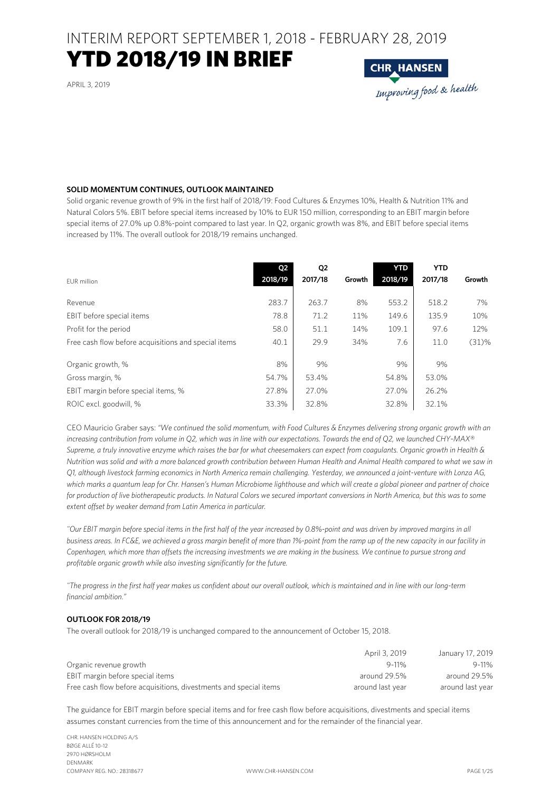INTERIM REPORT SEPTEMBER 1, 2018 - FEBRUARY 28, 2019

### YTD 2018/19 IN BRIEF

APRIL 3, 2019



### **SOLID MOMENTUM CONTINUES, OUTLOOK MAINTAINED**

Solid organic revenue growth of 9% in the first half of 2018/19: Food Cultures & Enzymes 10%, Health & Nutrition 11% and Natural Colors 5%. EBIT before special items increased by 10% to EUR 150 million, corresponding to an EBIT margin before special items of 27.0% up 0.8%-point compared to last year. In Q2, organic growth was 8%, and EBIT before special items increased by 11%. The overall outlook for 2018/19 remains unchanged.

| EUR million                                          | Q2<br>2018/19 | Q2<br>2017/18 | Growth | YTD<br>2018/19 | <b>YTD</b><br>2017/18 | Growth   |
|------------------------------------------------------|---------------|---------------|--------|----------------|-----------------------|----------|
| Revenue                                              | 283.7         | 263.7         | 8%     | 553.2          | 518.2                 | 7%       |
| EBIT before special items                            | 78.8          | 71.2          | 11%    | 149.6          | 135.9                 | 10%      |
| Profit for the period                                | 58.0          | 51.1          | 14%    | 109.1          | 97.6                  | 12%      |
| Free cash flow before acquisitions and special items | 40.1          | 29.9          | 34%    | 7.6            | 11.0                  | $(31)$ % |
| Organic growth, %                                    | 8%            | 9%            |        | 9%             | 9%                    |          |
| Gross margin, %                                      | 54.7%         | 53.4%         |        | 54.8%          | 53.0%                 |          |
| EBIT margin before special items, %                  | 27.8%         | 27.0%         |        | 27.0%          | 26.2%                 |          |
| ROIC excl. goodwill, %                               | 33.3%         | 32.8%         |        | 32.8%          | 32.1%                 |          |

CEO Mauricio Graber says: *"We continued the solid momentum, with Food Cultures & Enzymes delivering strong organic growth with an increasing contribution from volume in Q2, which was in line with our expectations. Towards the end of Q2, we launched CHY-MAX® Supreme, a truly innovative enzyme which raises the bar for what cheesemakers can expect from coagulants. Organic growth in Health & Nutrition was solid and with a more balanced growth contribution between Human Health and Animal Health compared to what we saw in Q1, although livestock farming economics in North America remain challenging. Yesterday, we announced a joint-venture with Lonza AG, which marks a quantum leap for Chr. Hansen's Human Microbiome lighthouse and which will create a global pioneer and partner of choice for production of live biotherapeutic products. In Natural Colors we secured important conversions in North America, but this was to some extent offset by weaker demand from Latin America in particular.* 

*"Our EBIT margin before special items in the first half of the year increased by 0.8%-point and was driven by improved margins in all business areas. In FC&E, we achieved a gross margin benefit of more than 1%-point from the ramp up of the new capacity in our facility in Copenhagen, which more than offsets the increasing investments we are making in the business. We continue to pursue strong and profitable organic growth while also investing significantly for the future.* 

*"The progress in the first half year makes us confident about our overall outlook, which is maintained and in line with our long-term financial ambition."* 

### **OUTLOOK FOR 2018/19**

The overall outlook for 2018/19 is unchanged compared to the announcement of October 15, 2018.

|                                                                   | April 3, 2019    | January 17, 2019 |
|-------------------------------------------------------------------|------------------|------------------|
| Organic revenue growth                                            | $9 - 11%$        | $9 - 11%$        |
| EBIT margin before special items                                  | around 29.5%     | around 29.5%     |
| Free cash flow before acquisitions, divestments and special items | around last year | around last year |

The guidance for EBIT margin before special items and for free cash flow before acquisitions, divestments and special items assumes constant currencies from the time of this announcement and for the remainder of the financial year.

CHR. HANSEN HOLDING A/S BØGE ALLÉ 10-12 2970 HØRSHOLM DENMARK COMPANY REG. NO.: 28318677 WWW.CHR-HANSEN.COM PAGE 1/25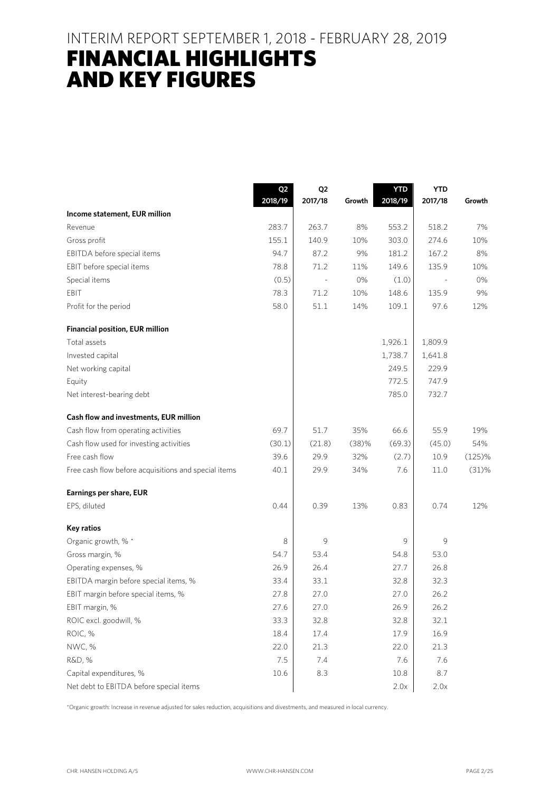### INTERIM REPORT SEPTEMBER 1, 2018 - FEBRUARY 28, 2019

## FINANCIAL HIGHLIGHTS AND KEY FIGURES

|                                                      | Q2      | Q <sub>2</sub> |        | <b>YTD</b> | <b>YTD</b> |          |
|------------------------------------------------------|---------|----------------|--------|------------|------------|----------|
| Income statement, EUR million                        | 2018/19 | 2017/18        | Growth | 2018/19    | 2017/18    | Growth   |
| Revenue                                              | 283.7   | 263.7          | 8%     | 553.2      | 518.2      | 7%       |
| Gross profit                                         | 155.1   | 140.9          | 10%    | 303.0      | 274.6      | 10%      |
| EBITDA before special items                          | 94.7    | 87.2           | 9%     | 181.2      | 167.2      | 8%       |
| EBIT before special items                            | 78.8    | 71.2           | 11%    | 149.6      | 135.9      | 10%      |
| Special items                                        | (0.5)   |                | 0%     | (1.0)      |            | 0%       |
| EBIT                                                 | 78.3    | 71.2           | 10%    | 148.6      | 135.9      | 9%       |
| Profit for the period                                | 58.0    | 51.1           | 14%    | 109.1      | 97.6       | 12%      |
| <b>Financial position, EUR million</b>               |         |                |        |            |            |          |
| Total assets                                         |         |                |        | 1,926.1    | 1,809.9    |          |
| Invested capital                                     |         |                |        | 1,738.7    | 1,641.8    |          |
| Net working capital                                  |         |                |        | 249.5      | 229.9      |          |
| Equity                                               |         |                |        | 772.5      | 747.9      |          |
| Net interest-bearing debt                            |         |                |        | 785.0      | 732.7      |          |
| Cash flow and investments, EUR million               |         |                |        |            |            |          |
| Cash flow from operating activities                  | 69.7    | 51.7           | 35%    | 66.6       | 55.9       | 19%      |
| Cash flow used for investing activities              | (30.1)  | (21.8)         | (38)%  | (69.3)     | (45.0)     | 54%      |
| Free cash flow                                       | 39.6    | 29.9           | 32%    | (2.7)      | 10.9       | (125)%   |
| Free cash flow before acquisitions and special items | 40.1    | 29.9           | 34%    | 7.6        | 11.0       | $(31)$ % |
| Earnings per share, EUR                              |         |                |        |            |            |          |
| EPS, diluted                                         | 0.44    | 0.39           | 13%    | 0.83       | 0.74       | 12%      |
| <b>Key ratios</b>                                    |         |                |        |            |            |          |
| Organic growth, % *                                  | 8       | 9              |        | 9          | 9          |          |
| Gross margin, %                                      | 54.7    | 53.4           |        | 54.8       | 53.0       |          |
| Operating expenses, %                                | 26.9    | 26.4           |        | 27.7       | 26.8       |          |
| EBITDA margin before special items, %                | 33.4    | 33.1           |        | 32.8       | 32.3       |          |
| EBIT margin before special items, %                  | 27.8    | 27.0           |        | 27.0       | 26.2       |          |
| EBIT margin, %                                       | 27.6    | 27.0           |        | 26.9       | 26.2       |          |
| ROIC excl. goodwill, %                               | 33.3    | 32.8           |        | 32.8       | 32.1       |          |
| ROIC, %                                              | 18.4    | 17.4           |        | 17.9       | 16.9       |          |
| NWC, %                                               | 22.0    | 21.3           |        | 22.0       | 21.3       |          |
| R&D, %                                               | 7.5     | 7.4            |        | 7.6        | 7.6        |          |
| Capital expenditures, %                              | 10.6    | 8.3            |        | 10.8       | 8.7        |          |
| Net debt to EBITDA before special items              |         |                |        | 2.0x       | 2.0x       |          |

\*Organic growth: Increase in revenue adjusted for sales reduction, acquisitions and divestments, and measured in local currency.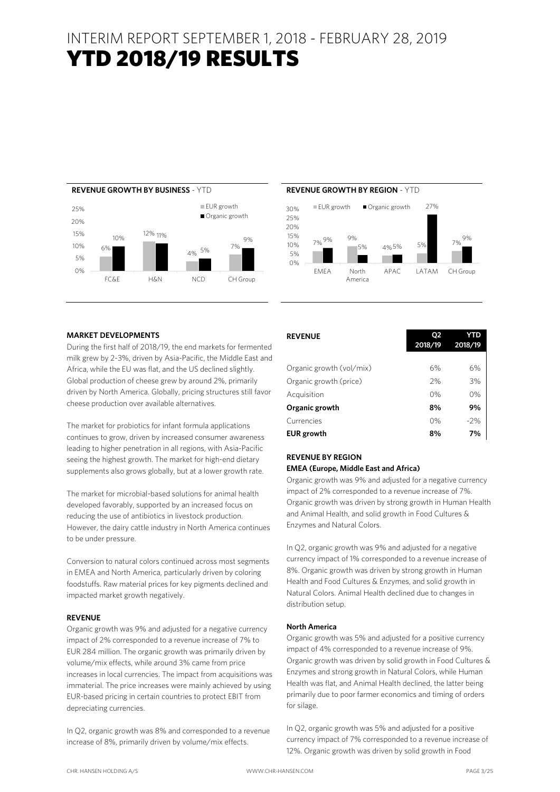### INTERIM REPORT SEPTEMBER 1, 2018 - FEBRUARY 28, 2019 YTD 2018/19 RESULTS





#### **MARKET DEVELOPMENTS**

During the first half of 2018/19, the end markets for fermented milk grew by 2-3%, driven by Asia-Pacific, the Middle East and Africa, while the EU was flat, and the US declined slightly. Global production of cheese grew by around 2%, primarily driven by North America. Globally, pricing structures still favor cheese production over available alternatives.

The market for probiotics for infant formula applications continues to grow, driven by increased consumer awareness leading to higher penetration in all regions, with Asia-Pacific seeing the highest growth. The market for high-end dietary supplements also grows globally, but at a lower growth rate.

The market for microbial-based solutions for animal health developed favorably, supported by an increased focus on reducing the use of antibiotics in livestock production. However, the dairy cattle industry in North America continues to be under pressure.

Conversion to natural colors continued across most segments in EMEA and North America, particularly driven by coloring foodstuffs. Raw material prices for key pigments declined and impacted market growth negatively.

#### **REVENUE**

Organic growth was 9% and adjusted for a negative currency impact of 2% corresponded to a revenue increase of 7% to EUR 284 million. The organic growth was primarily driven by volume/mix effects, while around 3% came from price increases in local currencies. The impact from acquisitions was immaterial. The price increases were mainly achieved by using EUR-based pricing in certain countries to protect EBIT from depreciating currencies.

In Q2, organic growth was 8% and corresponded to a revenue increase of 8%, primarily driven by volume/mix effects.

| <b>REVENUE</b>           | <b>O2</b><br>2018/19 | YTD<br>2018/19 |
|--------------------------|----------------------|----------------|
|                          |                      |                |
| Organic growth (vol/mix) | 6%                   | 6%             |
| Organic growth (price)   | 2%                   | 3%             |
| Acquisition              | 0%                   | 0%             |
| Organic growth           | 8%                   | 9%             |
| Currencies               | 0%                   | $-2%$          |
| <b>EUR</b> growth        | 8%                   | 7%             |

### **REVENUE BY REGION**

### **EMEA (Europe, Middle East and Africa)**

Organic growth was 9% and adjusted for a negative currency impact of 2% corresponded to a revenue increase of 7%. Organic growth was driven by strong growth in Human Health and Animal Health, and solid growth in Food Cultures & Enzymes and Natural Colors.

In Q2, organic growth was 9% and adjusted for a negative currency impact of 1% corresponded to a revenue increase of 8%. Organic growth was driven by strong growth in Human Health and Food Cultures & Enzymes, and solid growth in Natural Colors. Animal Health declined due to changes in distribution setup.

#### **North America**

Organic growth was 5% and adjusted for a positive currency impact of 4% corresponded to a revenue increase of 9%. Organic growth was driven by solid growth in Food Cultures & Enzymes and strong growth in Natural Colors, while Human Health was flat, and Animal Health declined, the latter being primarily due to poor farmer economics and timing of orders for silage.

In Q2, organic growth was 5% and adjusted for a positive currency impact of 7% corresponded to a revenue increase of 12%. Organic growth was driven by solid growth in Food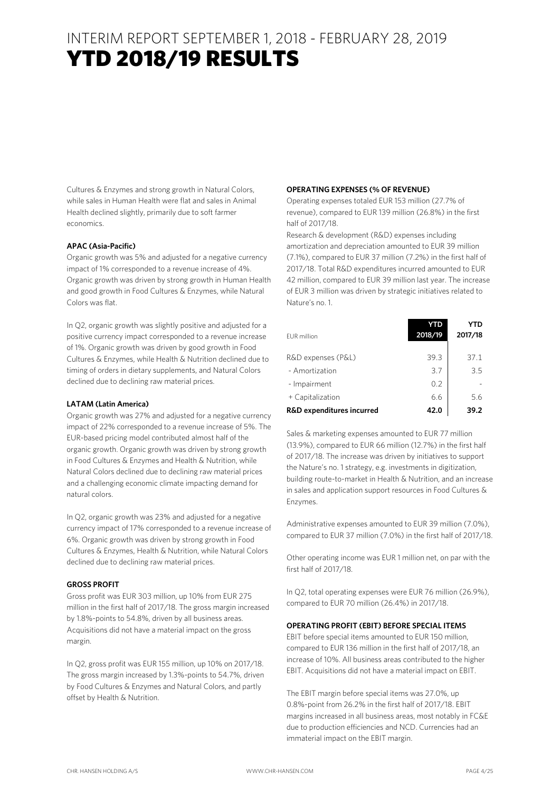Cultures & Enzymes and strong growth in Natural Colors, while sales in Human Health were flat and sales in Animal Health declined slightly, primarily due to soft farmer economics.

### **APAC (Asia-Pacific)**

Organic growth was 5% and adjusted for a negative currency impact of 1% corresponded to a revenue increase of 4%. Organic growth was driven by strong growth in Human Health and good growth in Food Cultures & Enzymes, while Natural Colors was flat.

In Q2, organic growth was slightly positive and adjusted for a positive currency impact corresponded to a revenue increase of 1%. Organic growth was driven by good growth in Food Cultures & Enzymes, while Health & Nutrition declined due to timing of orders in dietary supplements, and Natural Colors declined due to declining raw material prices.

### **LATAM (Latin America)**

Organic growth was 27% and adjusted for a negative currency impact of 22% corresponded to a revenue increase of 5%. The EUR-based pricing model contributed almost half of the organic growth. Organic growth was driven by strong growth in Food Cultures & Enzymes and Health & Nutrition, while Natural Colors declined due to declining raw material prices and a challenging economic climate impacting demand for natural colors.

In Q2, organic growth was 23% and adjusted for a negative currency impact of 17% corresponded to a revenue increase of 6%. Organic growth was driven by strong growth in Food Cultures & Enzymes, Health & Nutrition, while Natural Colors declined due to declining raw material prices.

### **GROSS PROFIT**

Gross profit was EUR 303 million, up 10% from EUR 275 million in the first half of 2017/18. The gross margin increased by 1.8%-points to 54.8%, driven by all business areas. Acquisitions did not have a material impact on the gross margin.

In Q2, gross profit was EUR 155 million, up 10% on 2017/18. The gross margin increased by 1.3%-points to 54.7%, driven by Food Cultures & Enzymes and Natural Colors, and partly offset by Health & Nutrition.

### **OPERATING EXPENSES (% OF REVENUE)**

Operating expenses totaled EUR 153 million (27.7% of revenue), compared to EUR 139 million (26.8%) in the first half of 2017/18.

Research & development (R&D) expenses including amortization and depreciation amounted to EUR 39 million (7.1%), compared to EUR 37 million (7.2%) in the first half of 2017/18. Total R&D expenditures incurred amounted to EUR 42 million, compared to EUR 39 million last year. The increase of EUR 3 million was driven by strategic initiatives related to Nature's no. 1.

| <b>EUR</b> million        | YTD<br>2018/19 | YTD<br>2017/18 |
|---------------------------|----------------|----------------|
| R&D expenses (P&L)        | 39.3           | 37.1           |
| - Amortization            | 3.7            | 3.5            |
| - Impairment              | 0.2            |                |
| + Capitalization          | 6.6            | 5.6            |
| R&D expenditures incurred | 42.0           | 39.2           |

Sales & marketing expenses amounted to EUR 77 million (13.9%), compared to EUR 66 million (12.7%) in the first half of 2017/18. The increase was driven by initiatives to support the Nature's no. 1 strategy, e.g. investments in digitization, building route-to-market in Health & Nutrition, and an increase in sales and application support resources in Food Cultures & Enzymes.

Administrative expenses amounted to EUR 39 million (7.0%), compared to EUR 37 million (7.0%) in the first half of 2017/18.

Other operating income was EUR 1 million net, on par with the first half of 2017/18.

In Q2, total operating expenses were EUR 76 million (26.9%), compared to EUR 70 million (26.4%) in 2017/18.

### **OPERATING PROFIT (EBIT) BEFORE SPECIAL ITEMS**

EBIT before special items amounted to EUR 150 million, compared to EUR 136 million in the first half of 2017/18, an increase of 10%. All business areas contributed to the higher EBIT. Acquisitions did not have a material impact on EBIT.

The EBIT margin before special items was 27.0%, up 0.8%-point from 26.2% in the first half of 2017/18. EBIT margins increased in all business areas, most notably in FC&E due to production efficiencies and NCD. Currencies had an immaterial impact on the EBIT margin.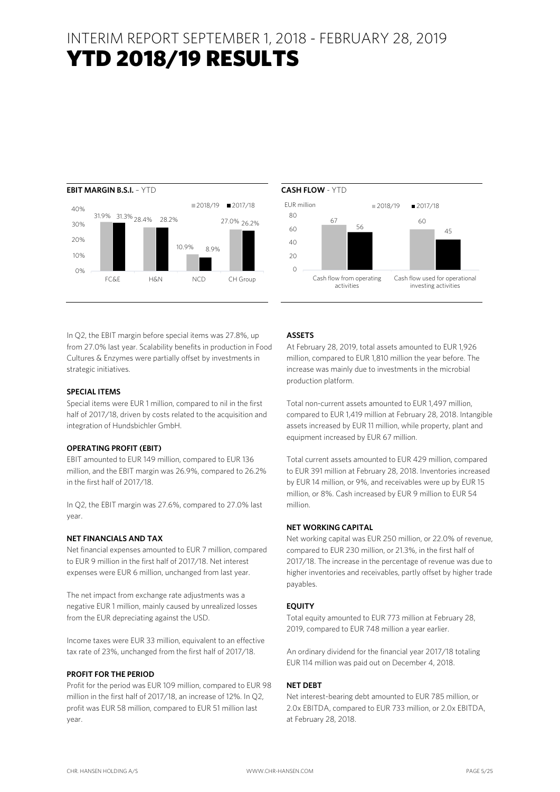### INTERIM REPORT SEPTEMBER 1, 2018 - FEBRUARY 28, 2019 YTD 2018/19 RESULTS





In Q2, the EBIT margin before special items was 27.8%, up from 27.0% last year. Scalability benefits in production in Food Cultures & Enzymes were partially offset by investments in strategic initiatives.

### **SPECIAL ITEMS**

Special items were EUR 1 million, compared to nil in the first half of 2017/18, driven by costs related to the acquisition and integration of Hundsbichler GmbH.

### **OPERATING PROFIT (EBIT)**

EBIT amounted to EUR 149 million, compared to EUR 136 million, and the EBIT margin was 26.9%, compared to 26.2% in the first half of 2017/18.

In Q2, the EBIT margin was 27.6%, compared to 27.0% last year.

### **NET FINANCIALS AND TAX**

Net financial expenses amounted to EUR 7 million, compared to EUR 9 million in the first half of 2017/18. Net interest expenses were EUR 6 million, unchanged from last year.

The net impact from exchange rate adjustments was a negative EUR 1 million, mainly caused by unrealized losses from the EUR depreciating against the USD.

Income taxes were EUR 33 million, equivalent to an effective tax rate of 23%, unchanged from the first half of 2017/18.

### **PROFIT FOR THE PERIOD**

Profit for the period was EUR 109 million, compared to EUR 98 million in the first half of 2017/18, an increase of 12%. In Q2, profit was EUR 58 million, compared to EUR 51 million last year.

### **ASSETS**

At February 28, 2019, total assets amounted to EUR 1,926 million, compared to EUR 1,810 million the year before. The increase was mainly due to investments in the microbial production platform.

Total non-current assets amounted to EUR 1,497 million, compared to EUR 1,419 million at February 28, 2018. Intangible assets increased by EUR 11 million, while property, plant and equipment increased by EUR 67 million.

Total current assets amounted to EUR 429 million, compared to EUR 391 million at February 28, 2018. Inventories increased by EUR 14 million, or 9%, and receivables were up by EUR 15 million, or 8%. Cash increased by EUR 9 million to EUR 54 million.

#### **NET WORKING CAPITAL**

Net working capital was EUR 250 million, or 22.0% of revenue, compared to EUR 230 million, or 21.3%, in the first half of 2017/18. The increase in the percentage of revenue was due to higher inventories and receivables, partly offset by higher trade payables.

### **EQUITY**

Total equity amounted to EUR 773 million at February 28, 2019, compared to EUR 748 million a year earlier.

An ordinary dividend for the financial year 2017/18 totaling EUR 114 million was paid out on December 4, 2018.

### **NET DEBT**

Net interest-bearing debt amounted to EUR 785 million, or 2.0x EBITDA, compared to EUR 733 million, or 2.0x EBITDA, at February 28, 2018.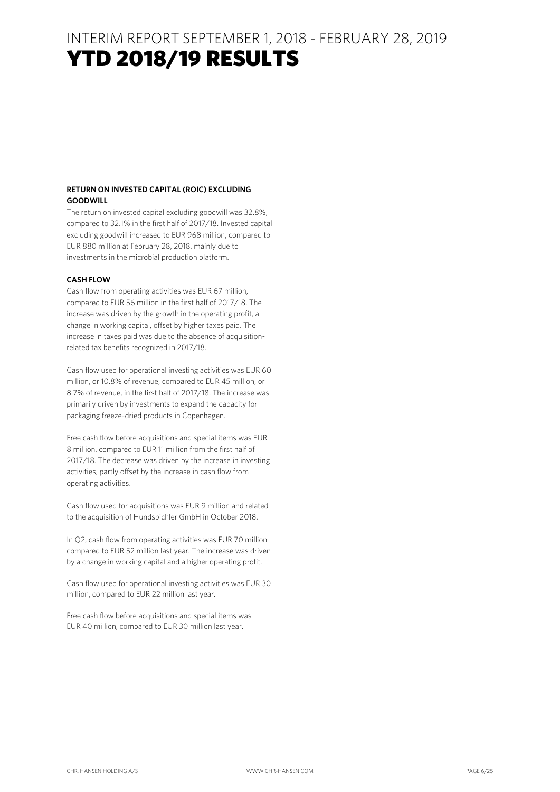## YTD 2018/19 RESULTS

### **RETURN ON INVESTED CAPITAL (ROIC) EXCLUDING GOODWILL**

The return on invested capital excluding goodwill was 32.8%, compared to 32.1% in the first half of 2017/18. Invested capital excluding goodwill increased to EUR 968 million, compared to EUR 880 million at February 28, 2018, mainly due to investments in the microbial production platform.

### **CASH FLOW**

Cash flow from operating activities was EUR 67 million, compared to EUR 56 million in the first half of 2017/18. The increase was driven by the growth in the operating profit, a change in working capital, offset by higher taxes paid. The increase in taxes paid was due to the absence of acquisitionrelated tax benefits recognized in 2017/18.

Cash flow used for operational investing activities was EUR 60 million, or 10.8% of revenue, compared to EUR 45 million, or 8.7% of revenue, in the first half of 2017/18. The increase was primarily driven by investments to expand the capacity for packaging freeze-dried products in Copenhagen.

Free cash flow before acquisitions and special items was EUR 8 million, compared to EUR 11 million from the first half of 2017/18. The decrease was driven by the increase in investing activities, partly offset by the increase in cash flow from operating activities.

Cash flow used for acquisitions was EUR 9 million and related to the acquisition of Hundsbichler GmbH in October 2018.

In Q2, cash flow from operating activities was EUR 70 million compared to EUR 52 million last year. The increase was driven by a change in working capital and a higher operating profit.

Cash flow used for operational investing activities was EUR 30 million, compared to EUR 22 million last year.

Free cash flow before acquisitions and special items was EUR 40 million, compared to EUR 30 million last year.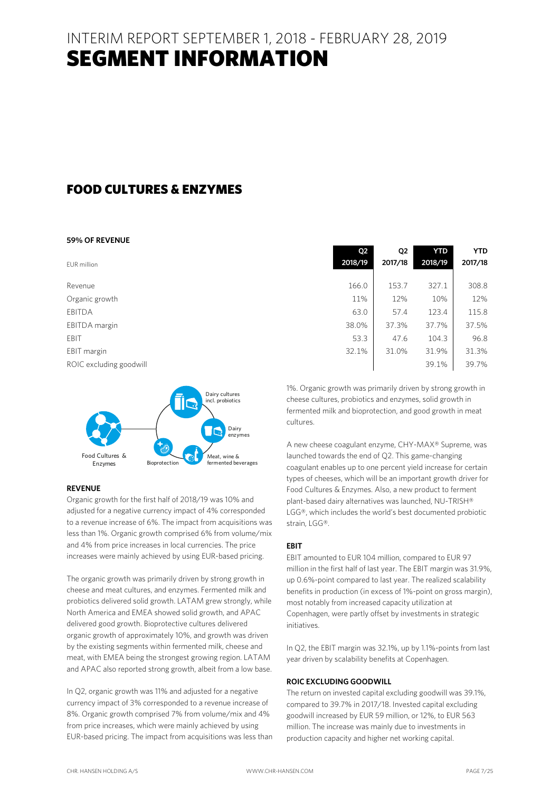### INTERIM REPORT SEPTEMBER 1, 2018 - FEBRUARY 28, 2019 SEGMENT INFORMATION

### FOOD CULTURES & ENZYMES

#### **59% OF REVENUE**

|                         | Q <sub>2</sub> | Q <sub>2</sub> | YTD     | <b>YTD</b> |
|-------------------------|----------------|----------------|---------|------------|
| EUR million             | 2018/19        | 2017/18        | 2018/19 | 2017/18    |
| Revenue                 | 166.0          | 153.7          | 327.1   | 308.8      |
| Organic growth          | 11%            | 12%            | 10%     | 12%        |
| <b>EBITDA</b>           | 63.0           | 57.4           | 123.4   | 115.8      |
| EBITDA margin           | 38.0%          | 37.3%          | 37.7%   | 37.5%      |
| EBIT                    | 53.3           | 47.6           | 104.3   | 96.8       |
| EBIT margin             | 32.1%          | 31.0%          | 31.9%   | 31.3%      |
| ROIC excluding goodwill |                |                | 39.1%   | 39.7%      |



### **REVENUE**

Organic growth for the first half of 2018/19 was 10% and adjusted for a negative currency impact of 4% corresponded to a revenue increase of 6%. The impact from acquisitions was less than 1%. Organic growth comprised 6% from volume/mix and 4% from price increases in local currencies. The price increases were mainly achieved by using EUR-based pricing.

The organic growth was primarily driven by strong growth in cheese and meat cultures, and enzymes. Fermented milk and probiotics delivered solid growth. LATAM grew strongly, while North America and EMEA showed solid growth, and APAC delivered good growth. Bioprotective cultures delivered organic growth of approximately 10%, and growth was driven by the existing segments within fermented milk, cheese and meat, with EMEA being the strongest growing region. LATAM and APAC also reported strong growth, albeit from a low base.

In Q2, organic growth was 11% and adjusted for a negative currency impact of 3% corresponded to a revenue increase of 8%. Organic growth comprised 7% from volume/mix and 4% from price increases, which were mainly achieved by using EUR-based pricing. The impact from acquisitions was less than

| $-0.07.7$ | ----  | $-0.07.7$ | ----  |
|-----------|-------|-----------|-------|
|           |       |           |       |
| 166.0     | 153.7 | 327.1     | 308.8 |
| 11%       | 12%   | 10%       | 12%   |
| 63.0      | 57.4  | 123.4     | 115.8 |
| 38.0%     | 37.3% | 37.7%     | 37.5% |
| 53.3      | 47.6  | 104.3     | 96.8  |
| 32.1%     | 31.0% | 31.9%     | 31.3% |
|           |       | 39.1%     | 39.7% |
|           |       |           |       |
|           |       |           |       |

1%. Organic growth was primarily driven by strong growth in cheese cultures, probiotics and enzymes, solid growth in fermented milk and bioprotection, and good growth in meat cultures.

A new cheese coagulant enzyme, CHY-MAX® Supreme, was launched towards the end of Q2. This game-changing coagulant enables up to one percent yield increase for certain types of cheeses, which will be an important growth driver for Food Cultures & Enzymes. Also, a new product to ferment plant-based dairy alternatives was launched, NU-TRISH® LGG®, which includes the world's best documented probiotic strain, LGG®.

### **EBIT**

EBIT amounted to EUR 104 million, compared to EUR 97 million in the first half of last year. The EBIT margin was 31.9%, up 0.6%-point compared to last year. The realized scalability benefits in production (in excess of 1%-point on gross margin), most notably from increased capacity utilization at Copenhagen, were partly offset by investments in strategic initiatives.

In Q2, the EBIT margin was 32.1%, up by 1.1%-points from last year driven by scalability benefits at Copenhagen.

### **ROIC EXCLUDING GOODWILL**

The return on invested capital excluding goodwill was 39.1%, compared to 39.7% in 2017/18. Invested capital excluding goodwill increased by EUR 59 million, or 12%, to EUR 563 million. The increase was mainly due to investments in production capacity and higher net working capital.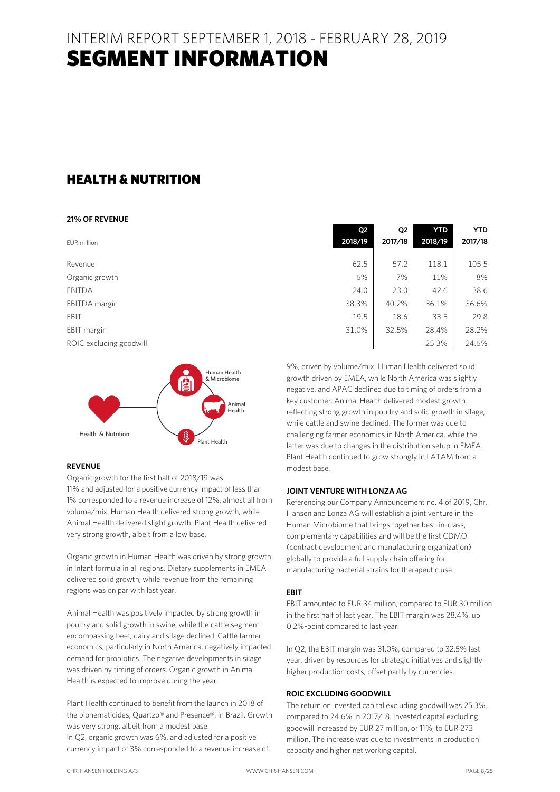### INTERIM REPORT SEPTEMBER 1, 2018 - FEBRUARY 28, 2019 SEGMENT INFORMATION

### HEALTH & NUTRITION

#### **21% OF REVENUE**

|                         | Q2      | Q <sub>2</sub> | YTD     | <b>YTD</b> |
|-------------------------|---------|----------------|---------|------------|
| EUR million             | 2018/19 | 2017/18        | 2018/19 | 2017/18    |
| Revenue                 | 62.5    | 57.2           | 118.1   | 105.5      |
| Organic growth          | 6%      | 7%             | 11%     | 8%         |
| <b>EBITDA</b>           | 24.0    | 23.0           | 42.6    | 38.6       |
| EBITDA margin           | 38.3%   | 40.2%          | 36.1%   | 36.6%      |
| EBIT                    | 19.5    | 18.6           | 33.5    | 29.8       |
| EBIT margin             | 31.0%   | 32.5%          | 28.4%   | 28.2%      |
| ROIC excluding goodwill |         |                | 25.3%   | 24.6%      |



### **REVENUE**

Organic growth for the first half of 2018/19 was 11% and adjusted for a positive currency impact of less than 1% corresponded to a revenue increase of 12%, almost all from volume/mix. Human Health delivered strong growth, while Animal Health delivered slight growth. Plant Health delivered very strong growth, albeit from a low base.

Organic growth in Human Health was driven by strong growth in infant formula in all regions. Dietary supplements in EMEA delivered solid growth, while revenue from the remaining regions was on par with last year.

Animal Health was positively impacted by strong growth in poultry and solid growth in swine, while the cattle segment encompassing beef, dairy and silage declined. Cattle farmer economics, particularly in North America, negatively impacted demand for probiotics. The negative developments in silage was driven by timing of orders. Organic growth in Animal Health is expected to improve during the year.

Plant Health continued to benefit from the launch in 2018 of the bionematicides, Quartzo® and Presence®, in Brazil. Growth was very strong, albeit from a modest base.

In Q2, organic growth was 6%, and adjusted for a positive currency impact of 3% corresponded to a revenue increase of

| 62.5                                             | 57.2  | 118.1 | 105.5 |  |  |
|--------------------------------------------------|-------|-------|-------|--|--|
| 6%                                               | 7%    | 11%   | 8%    |  |  |
| 24.0                                             | 23.0  | 42.6  | 38.6  |  |  |
| 38.3%                                            | 40.2% | 36.1% | 36.6% |  |  |
| 19.5                                             | 18.6  | 33.5  | 29.8  |  |  |
| 31.0%                                            | 32.5% | 28.4% | 28.2% |  |  |
|                                                  |       | 25.3% | 24.6% |  |  |
| en by volume/mix. Human Health delivered solid   |       |       |       |  |  |
| Iriven by EMEA, while North America was slightly |       |       |       |  |  |

9%, driv growth c negative, and APAC declined due to timing of orders from a key customer. Animal Health delivered modest growth reflecting strong growth in poultry and solid growth in silage, while cattle and swine declined. The former was due to challenging farmer economics in North America, while the latter was due to changes in the distribution setup in EMEA. Plant Health continued to grow strongly in LATAM from a modest base.

### **JOINT VENTURE WITH LONZA AG**

Referencing our Company Announcement no. 4 of 2019, Chr. Hansen and Lonza AG will establish a joint venture in the Human Microbiome that brings together best-in-class, complementary capabilities and will be the first CDMO (contract development and manufacturing organization) globally to provide a full supply chain offering for manufacturing bacterial strains for therapeutic use.

### **EBIT**

EBIT amounted to EUR 34 million, compared to EUR 30 million in the first half of last year. The EBIT margin was 28.4%, up 0.2%-point compared to last year.

In Q2, the EBIT margin was 31.0%, compared to 32.5% last year, driven by resources for strategic initiatives and slightly higher production costs, offset partly by currencies.

### **ROIC EXCLUDING GOODWILL**

The return on invested capital excluding goodwill was 25.3%, compared to 24.6% in 2017/18. Invested capital excluding goodwill increased by EUR 27 million, or 11%, to EUR 273 million. The increase was due to investments in production capacity and higher net working capital.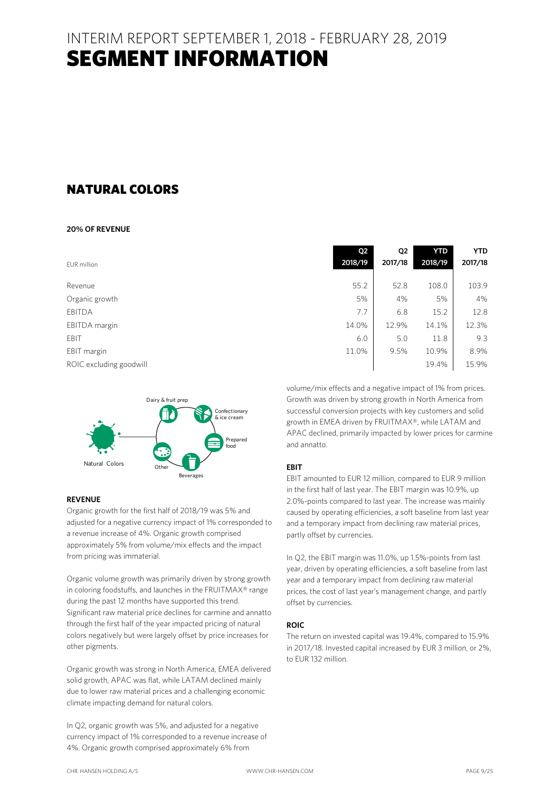### NATURAL COLORS

### **20% OF REVENUE**

|                         | Q2      | Q <sub>2</sub> | <b>YTD</b> | <b>YTD</b> |
|-------------------------|---------|----------------|------------|------------|
| EUR million             | 2018/19 | 2017/18        | 2018/19    | 2017/18    |
|                         |         |                |            |            |
| Revenue                 | 55.2    | 52.8           | 108.0      | 103.9      |
| Organic growth          | 5%      | 4%             | 5%         | 4%         |
| <b>EBITDA</b>           | 7.7     | 6.8            | 15.2       | 12.8       |
| EBITDA margin           | 14.0%   | 12.9%          | 14.1%      | 12.3%      |
| EBIT                    | 6.0     | 5.0            | 11.8       | 9.3        |
| EBIT margin             | 11.0%   | 9.5%           | 10.9%      | 8.9%       |
| ROIC excluding goodwill |         |                | 19.4%      | 15.9%      |



### **REVENUE**

Organic growth for the first half of 2018/19 was 5% and adjusted for a negative currency impact of 1% corresponded to a revenue increase of 4%. Organic growth comprised approximately 5% from volume/mix effects and the impact from pricing was immaterial.

Organic volume growth was primarily driven by strong growth in coloring foodstuffs, and launches in the FRUITMAX® range during the past 12 months have supported this trend. Significant raw material price declines for carmine and annatto through the first half of the year impacted pricing of natural colors negatively but were largely offset by price increases for other pigments.

Organic growth was strong in North America, EMEA delivered solid growth, APAC was flat, while LATAM declined mainly due to lower raw material prices and a challenging economic climate impacting demand for natural colors.

In Q2, organic growth was 5%, and adjusted for a negative currency impact of 1% corresponded to a revenue increase of 4%. Organic growth comprised approximately 6% from

| 2018/19 | 2017/18 | 2018/19 | 2017/18 |
|---------|---------|---------|---------|
|         |         |         |         |
| 55.2    | 52.8    | 108.0   | 103.9   |
| 5%      | 4%      | 5%      | 4%      |
| 7.7     | 6.8     | 15.2    | 12.8    |
| 14.0%   | 12.9%   | 14.1%   | 12.3%   |
| 6.0     | 5.0     | 11.8    | 9.3     |
| 11.0%   | 9.5%    | 10.9%   | 8.9%    |
|         |         | 19.4%   | 15.9%   |
|         |         |         |         |

volume/mix effects and a negative impact of 1% from prices. Growth was driven by strong growth in North America from successful conversion projects with key customers and solid growth in EMEA driven by FRUITMAX®, while LATAM and APAC declined, primarily impacted by lower prices for carmine and annatto.

### **EBIT**

EBIT amounted to EUR 12 million, compared to EUR 9 million in the first half of last year. The EBIT margin was 10.9%, up 2.0%-points compared to last year. The increase was mainly caused by operating efficiencies, a soft baseline from last year and a temporary impact from declining raw material prices, partly offset by currencies.

In Q2, the EBIT margin was 11.0%, up 1.5%-points from last year, driven by operating efficiencies, a soft baseline from last year and a temporary impact from declining raw material prices, the cost of last year's management change, and partly offset by currencies.

### **ROIC**

The return on invested capital was 19.4%, compared to 15.9% in 2017/18. Invested capital increased by EUR 3 million, or 2%, to EUR 132 million.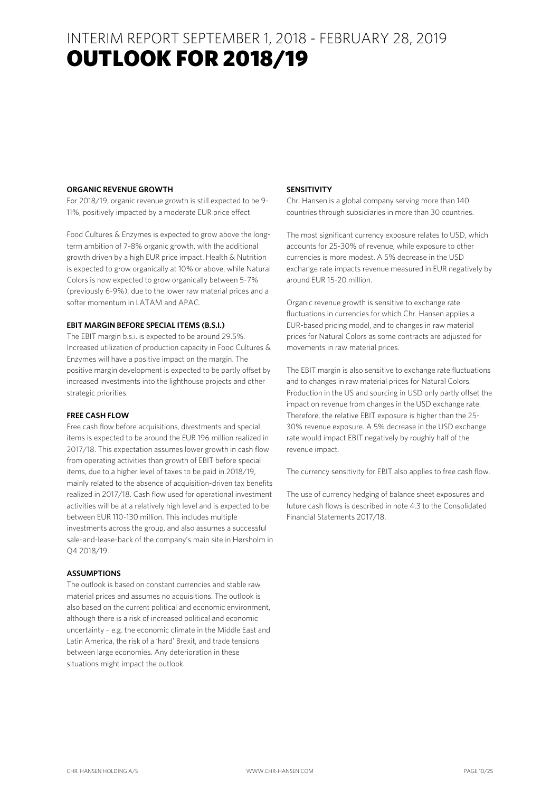### INTERIM REPORT SEPTEMBER 1, 2018 - FEBRUARY 28, 2019 **OUTLOOK FOR 2018/19**

### **ORGANIC REVENUE GROWTH**

For 2018/19, organic revenue growth is still expected to be 9- 11%, positively impacted by a moderate EUR price effect.

Food Cultures & Enzymes is expected to grow above the longterm ambition of 7-8% organic growth, with the additional growth driven by a high EUR price impact. Health & Nutrition is expected to grow organically at 10% or above, while Natural Colors is now expected to grow organically between 5-7% (previously 6-9%), due to the lower raw material prices and a softer momentum in LATAM and APAC.

### **EBIT MARGIN BEFORE SPECIAL ITEMS (B.S.I.)**

The EBIT margin b.s.i. is expected to be around 29.5%. Increased utilization of production capacity in Food Cultures & Enzymes will have a positive impact on the margin. The positive margin development is expected to be partly offset by increased investments into the lighthouse projects and other strategic priorities.

### **FREE CASH FLOW**

Free cash flow before acquisitions, divestments and special items is expected to be around the EUR 196 million realized in 2017/18. This expectation assumes lower growth in cash flow from operating activities than growth of EBIT before special items, due to a higher level of taxes to be paid in 2018/19, mainly related to the absence of acquisition-driven tax benefits realized in 2017/18. Cash flow used for operational investment activities will be at a relatively high level and is expected to be between EUR 110-130 million. This includes multiple investments across the group, and also assumes a successful sale-and-lease-back of the company's main site in Hørsholm in Q4 2018/19.

### **ASSUMPTIONS**

The outlook is based on constant currencies and stable raw material prices and assumes no acquisitions. The outlook is also based on the current political and economic environment, although there is a risk of increased political and economic uncertainty – e.g. the economic climate in the Middle East and Latin America, the risk of a 'hard' Brexit, and trade tensions between large economies. Any deterioration in these situations might impact the outlook.

### **SENSITIVITY**

Chr. Hansen is a global company serving more than 140 countries through subsidiaries in more than 30 countries.

The most significant currency exposure relates to USD, which accounts for 25-30% of revenue, while exposure to other currencies is more modest. A 5% decrease in the USD exchange rate impacts revenue measured in EUR negatively by around EUR 15-20 million.

Organic revenue growth is sensitive to exchange rate fluctuations in currencies for which Chr. Hansen applies a EUR-based pricing model, and to changes in raw material prices for Natural Colors as some contracts are adjusted for movements in raw material prices.

The EBIT margin is also sensitive to exchange rate fluctuations and to changes in raw material prices for Natural Colors. Production in the US and sourcing in USD only partly offset the impact on revenue from changes in the USD exchange rate. Therefore, the relative EBIT exposure is higher than the 25- 30% revenue exposure. A 5% decrease in the USD exchange rate would impact EBIT negatively by roughly half of the revenue impact.

The currency sensitivity for EBIT also applies to free cash flow.

The use of currency hedging of balance sheet exposures and future cash flows is described in note 4.3 to the Consolidated Financial Statements 2017/18.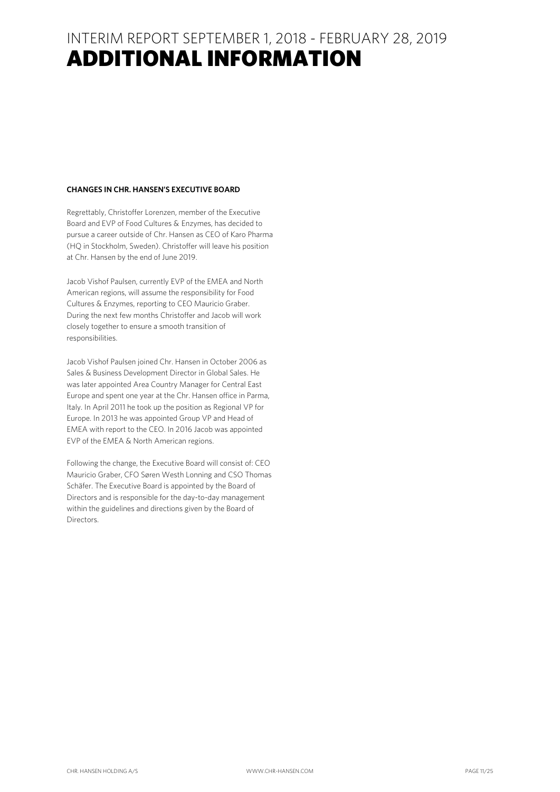### INTERIM REPORT SEPTEMBER 1, 2018 - FEBRUARY 28, 2019 ADDITIONAL INFORMATION

### **CHANGES IN CHR. HANSEN'S EXECUTIVE BOARD**

Regrettably, Christoffer Lorenzen, member of the Executive Board and EVP of Food Cultures & Enzymes, has decided to pursue a career outside of Chr. Hansen as CEO of Karo Pharma (HQ in Stockholm, Sweden). Christoffer will leave his position at Chr. Hansen by the end of June 2019.

Jacob Vishof Paulsen, currently EVP of the EMEA and North American regions, will assume the responsibility for Food Cultures & Enzymes, reporting to CEO Mauricio Graber. During the next few months Christoffer and Jacob will work closely together to ensure a smooth transition of responsibilities.

Jacob Vishof Paulsen joined Chr. Hansen in October 2006 as Sales & Business Development Director in Global Sales. He was later appointed Area Country Manager for Central East Europe and spent one year at the Chr. Hansen office in Parma, Italy. In April 2011 he took up the position as Regional VP for Europe. In 2013 he was appointed Group VP and Head of EMEA with report to the CEO. In 2016 Jacob was appointed EVP of the EMEA & North American regions.

Following the change, the Executive Board will consist of: CEO Mauricio Graber, CFO Søren Westh Lonning and CSO Thomas Schäfer. The Executive Board is appointed by the Board of Directors and is responsible for the day-to-day management within the guidelines and directions given by the Board of Directors.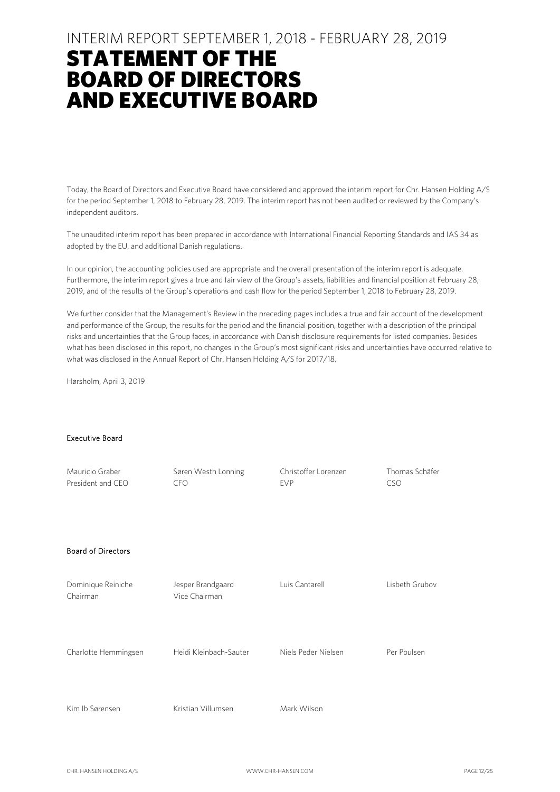### INTERIM REPORT SEPTEMBER 1, 2018 - FEBRUARY 28, 2019

### STATEMENT OF THE BOARD OF DIRECTORS AND EXECUTIVE BOARD

Today, the Board of Directors and Executive Board have considered and approved the interim report for Chr. Hansen Holding A/S for the period September 1, 2018 to February 28, 2019. The interim report has not been audited or reviewed by the Company's independent auditors.

The unaudited interim report has been prepared in accordance with International Financial Reporting Standards and IAS 34 as adopted by the EU, and additional Danish regulations.

In our opinion, the accounting policies used are appropriate and the overall presentation of the interim report is adequate. Furthermore, the interim report gives a true and fair view of the Group's assets, liabilities and financial position at February 28, 2019, and of the results of the Group's operations and cash flow for the period September 1, 2018 to February 28, 2019.

We further consider that the Management's Review in the preceding pages includes a true and fair account of the development and performance of the Group, the results for the period and the financial position, together with a description of the principal risks and uncertainties that the Group faces, in accordance with Danish disclosure requirements for listed companies. Besides what has been disclosed in this report, no changes in the Group's most significant risks and uncertainties have occurred relative to what was disclosed in the Annual Report of Chr. Hansen Holding A/S for 2017/18.

Hørsholm, April 3, 2019

#### Executive Board

| Mauricio Graber<br>President and CEO | Søren Westh Lonning<br><b>CFO</b>  | Christoffer Lorenzen<br><b>EVP</b> | Thomas Schäfer<br><b>CSO</b> |
|--------------------------------------|------------------------------------|------------------------------------|------------------------------|
| <b>Board of Directors</b>            |                                    |                                    |                              |
| Dominique Reiniche<br>Chairman       | Jesper Brandgaard<br>Vice Chairman | Luis Cantarell                     | Lisbeth Grubov               |
| Charlotte Hemmingsen                 | Heidi Kleinbach-Sauter             | Niels Peder Nielsen                | Per Poulsen                  |
| Kim Ib Sørensen                      | Kristian Villumsen                 | Mark Wilson                        |                              |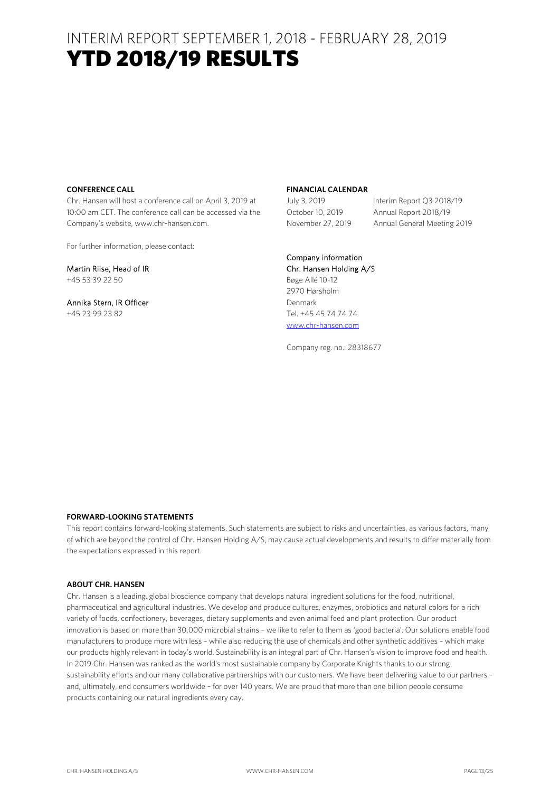### INTERIM REPORT SEPTEMBER 1, 2018 - FEBRUARY 28, 2019 YTD 2018/19 RESULTS

### **CONFERENCE CALL**

Chr. Hansen will host a conference call on April 3, 2019 at 10:00 am CET. The conference call can be accessed via the Company's website, www.chr-hansen.com.

For further information, please contact:

Martin Riise, Head of IR +45 53 39 22 50

Annika Stern, IR Officer +45 23 99 23 82

### **FINANCIAL CALENDAR**

July 3, 2019 Interim Report Q3 2018/19 October 10, 2019 Annual Report 2018/19 November 27, 2019 Annual General Meeting 2019

Company information Chr. Hansen Holding A/S Bøge Allé 10-12 2970 Hørsholm Denmark Tel. +45 45 74 74 74

www.chr-hansen.com

Company reg. no.: 28318677

### **FORWARD-LOOKING STATEMENTS**

This report contains forward-looking statements. Such statements are subject to risks and uncertainties, as various factors, many of which are beyond the control of Chr. Hansen Holding A/S, may cause actual developments and results to differ materially from the expectations expressed in this report.

### **ABOUT CHR. HANSEN**

Chr. Hansen is a leading, global bioscience company that develops natural ingredient solutions for the food, nutritional, pharmaceutical and agricultural industries. We develop and produce cultures, enzymes, probiotics and natural colors for a rich variety of foods, confectionery, beverages, dietary supplements and even animal feed and plant protection. Our product innovation is based on more than 30,000 microbial strains – we like to refer to them as 'good bacteria'. Our solutions enable food manufacturers to produce more with less – while also reducing the use of chemicals and other synthetic additives – which make our products highly relevant in today's world. Sustainability is an integral part of Chr. Hansen's vision to improve food and health. In 2019 Chr. Hansen was ranked as the world's most sustainable company by Corporate Knights thanks to our strong sustainability efforts and our many collaborative partnerships with our customers. We have been delivering value to our partners – and, ultimately, end consumers worldwide – for over 140 years. We are proud that more than one billion people consume products containing our natural ingredients every day.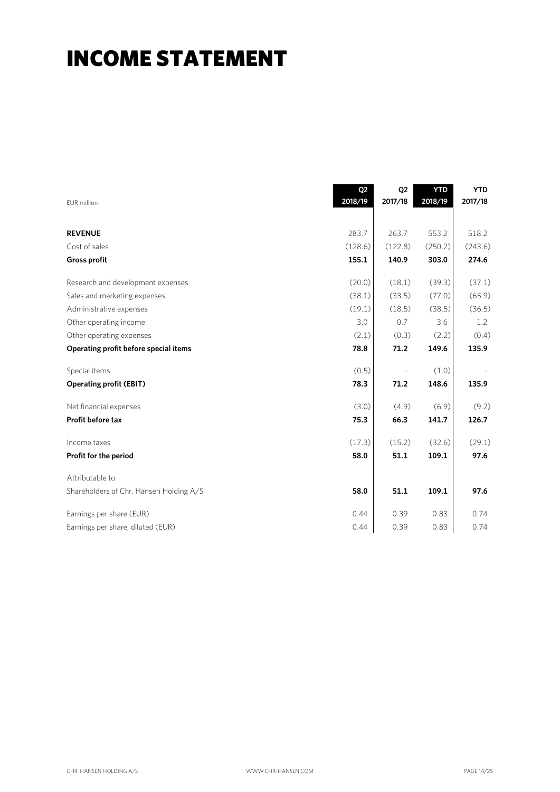## INCOME STATEMENT

| EUR million                             | Q <sub>2</sub><br>2018/19 | Q <sub>2</sub><br>2017/18 | <b>YTD</b><br>2018/19 | <b>YTD</b><br>2017/18 |
|-----------------------------------------|---------------------------|---------------------------|-----------------------|-----------------------|
| <b>REVENUE</b>                          | 283.7                     | 263.7                     | 553.2                 | 518.2                 |
| Cost of sales                           | (128.6)                   | (122.8)                   | (250.2)               | (243.6)               |
| <b>Gross profit</b>                     | 155.1                     | 140.9                     | 303.0                 | 274.6                 |
| Research and development expenses       | (20.0)                    | (18.1)                    | (39.3)                | (37.1)                |
| Sales and marketing expenses            | (38.1)                    | (33.5)                    | (77.0)                | (65.9)                |
| Administrative expenses                 | (19.1)                    | (18.5)                    | (38.5)                | (36.5)                |
| Other operating income                  | 3.0                       | 0.7                       | 3.6                   | 1.2                   |
| Other operating expenses                | (2.1)                     | (0.3)                     | (2.2)                 | (0.4)                 |
| Operating profit before special items   | 78.8                      | 71.2                      | 149.6                 | 135.9                 |
| Special items                           | (0.5)                     |                           | (1.0)                 |                       |
| <b>Operating profit (EBIT)</b>          | 78.3                      | 71.2                      | 148.6                 | 135.9                 |
| Net financial expenses                  | (3.0)                     | (4.9)                     | (6.9)                 | (9.2)                 |
| Profit before tax                       | 75.3                      | 66.3                      | 141.7                 | 126.7                 |
| Income taxes                            | (17.3)                    | (15.2)                    | (32.6)                | (29.1)                |
| Profit for the period                   | 58.0                      | 51.1                      | 109.1                 | 97.6                  |
| Attributable to:                        |                           |                           |                       |                       |
| Shareholders of Chr. Hansen Holding A/S | 58.0                      | 51.1                      | 109.1                 | 97.6                  |
| Earnings per share (EUR)                | 0.44                      | 0.39                      | 0.83                  | 0.74                  |
| Earnings per share, diluted (EUR)       | 0.44                      | 0.39                      | 0.83                  | 0.74                  |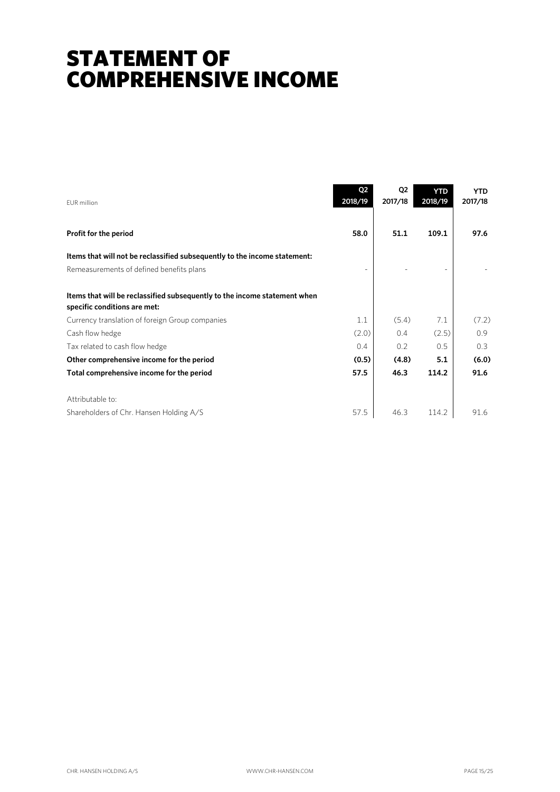## STATEMENT OF COMPREHENSIVE INCOME

| FUR million                                                                                               | Q <sub>2</sub><br>2018/19 | Q <sub>2</sub><br>2017/18 | <b>YTD</b><br>2018/19 | <b>YTD</b><br>2017/18 |
|-----------------------------------------------------------------------------------------------------------|---------------------------|---------------------------|-----------------------|-----------------------|
| Profit for the period                                                                                     | 58.0                      | 51.1                      | 109.1                 | 97.6                  |
| Items that will not be reclassified subsequently to the income statement:                                 |                           |                           |                       |                       |
| Remeasurements of defined benefits plans                                                                  |                           |                           |                       |                       |
| Items that will be reclassified subsequently to the income statement when<br>specific conditions are met: |                           |                           |                       |                       |
| Currency translation of foreign Group companies                                                           | 1.1                       | (5.4)                     | 7.1                   | (7.2)                 |
| Cash flow hedge                                                                                           | (2.0)                     | 0.4                       | (2.5)                 | 0.9                   |
| Tax related to cash flow hedge                                                                            | 0.4                       | 0.2                       | 0.5                   | 0.3                   |
| Other comprehensive income for the period                                                                 | (0.5)                     | (4.8)                     | 5.1                   | (6.0)                 |
| Total comprehensive income for the period                                                                 | 57.5                      | 46.3                      | 114.2                 | 91.6                  |
| Attributable to:                                                                                          |                           |                           |                       |                       |
| Shareholders of Chr. Hansen Holding A/S                                                                   | 57.5                      | 46.3                      | 114.2                 | 91.6                  |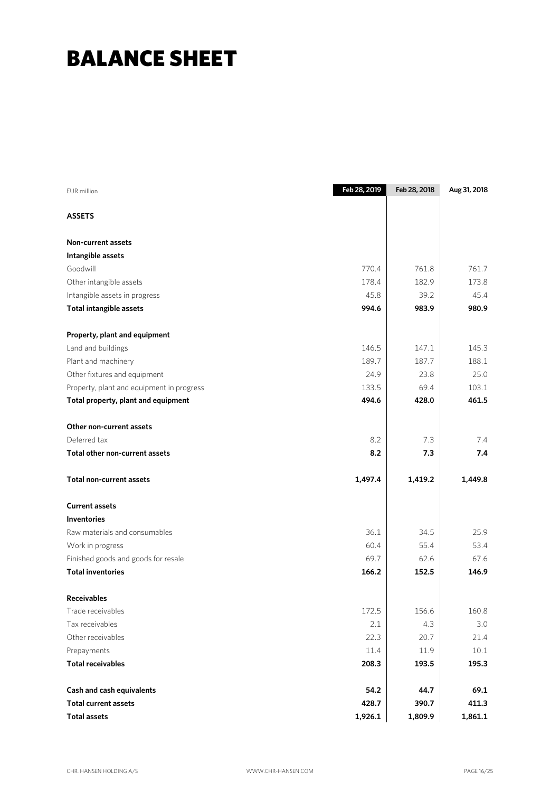## BALANCE SHEET

| EUR million                               | Feb 28, 2019 | Feb 28, 2018 | Aug 31, 2018 |
|-------------------------------------------|--------------|--------------|--------------|
| <b>ASSETS</b>                             |              |              |              |
| Non-current assets                        |              |              |              |
| Intangible assets                         |              |              |              |
| Goodwill                                  | 770.4        | 761.8        | 761.7        |
| Other intangible assets                   | 178.4        | 182.9        | 173.8        |
| Intangible assets in progress             | 45.8         | 39.2         | 45.4         |
| <b>Total intangible assets</b>            | 994.6        | 983.9        | 980.9        |
| Property, plant and equipment             |              |              |              |
| Land and buildings                        | 146.5        | 147.1        | 145.3        |
| Plant and machinery                       | 189.7        | 187.7        | 188.1        |
| Other fixtures and equipment              | 24.9         | 23.8         | 25.0         |
| Property, plant and equipment in progress | 133.5        | 69.4         | 103.1        |
| Total property, plant and equipment       | 494.6        | 428.0        | 461.5        |
| Other non-current assets                  |              |              |              |
| Deferred tax                              | 8.2          | 7.3          | 7.4          |
| Total other non-current assets            | 8.2          | 7.3          | 7.4          |
| <b>Total non-current assets</b>           | 1,497.4      | 1,419.2      | 1,449.8      |
| <b>Current assets</b>                     |              |              |              |
| <b>Inventories</b>                        |              |              |              |
| Raw materials and consumables             | 36.1         | 34.5         | 25.9         |
| Work in progress                          | 60.4         | 55.4         | 53.4         |
| Finished goods and goods for resale       | 69.7         | 62.6         | 67.6         |
| <b>Total inventories</b>                  | 166.2        | 152.5        | 146.9        |
| <b>Receivables</b>                        |              |              |              |
| Trade receivables                         | 172.5        | 156.6        | 160.8        |
| Tax receivables                           | $2.1\,$      | 4.3          | 3.0          |
| Other receivables                         | 22.3         | 20.7         | 21.4         |
| Prepayments                               | 11.4         | 11.9         | $10.1$       |
| <b>Total receivables</b>                  | 208.3        | 193.5        | 195.3        |
| Cash and cash equivalents                 | 54.2         | 44.7         | 69.1         |
| <b>Total current assets</b>               | 428.7        | 390.7        | 411.3        |
| <b>Total assets</b>                       | 1,926.1      | 1,809.9      | 1,861.1      |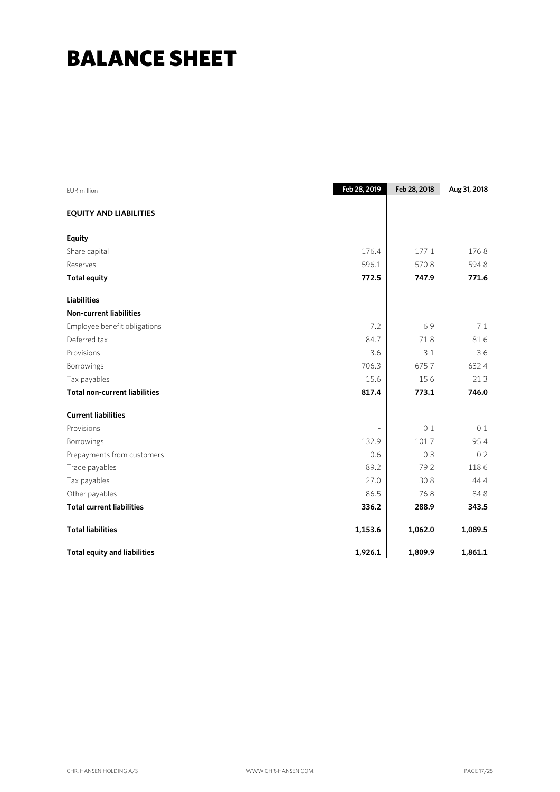## BALANCE SHEET

| <b>EUR</b> million                   | Feb 28, 2019 | Feb 28, 2018 | Aug 31, 2018 |
|--------------------------------------|--------------|--------------|--------------|
| <b>EQUITY AND LIABILITIES</b>        |              |              |              |
| <b>Equity</b>                        |              |              |              |
| Share capital                        | 176.4        | 177.1        | 176.8        |
| Reserves                             | 596.1        | 570.8        | 594.8        |
| <b>Total equity</b>                  | 772.5        | 747.9        | 771.6        |
| <b>Liabilities</b>                   |              |              |              |
| <b>Non-current liabilities</b>       |              |              |              |
| Employee benefit obligations         | 7.2          | 6.9          | 7.1          |
| Deferred tax                         | 84.7         | 71.8         | 81.6         |
| Provisions                           | 3.6          | 3.1          | 3.6          |
| Borrowings                           | 706.3        | 675.7        | 632.4        |
| Tax payables                         | 15.6         | 15.6         | 21.3         |
| <b>Total non-current liabilities</b> | 817.4        | 773.1        | 746.0        |
| <b>Current liabilities</b>           |              |              |              |
| Provisions                           |              | 0.1          | 0.1          |
| Borrowings                           | 132.9        | 101.7        | 95.4         |
| Prepayments from customers           | 0.6          | 0.3          | 0.2          |
| Trade payables                       | 89.2         | 79.2         | 118.6        |
| Tax payables                         | 27.0         | 30.8         | 44.4         |
| Other payables                       | 86.5         | 76.8         | 84.8         |
| <b>Total current liabilities</b>     | 336.2        | 288.9        | 343.5        |
| <b>Total liabilities</b>             | 1,153.6      | 1,062.0      | 1,089.5      |
| <b>Total equity and liabilities</b>  | 1,926.1      | 1,809.9      | 1,861.1      |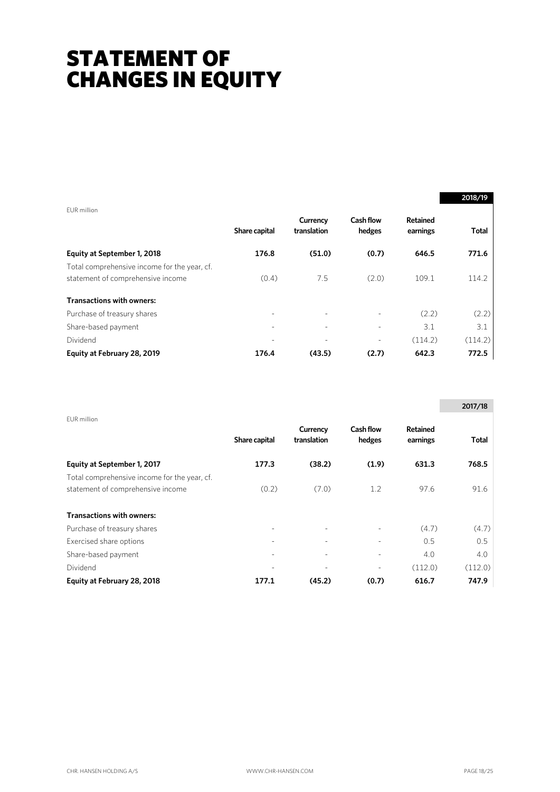## STATEMENT OF CHANGES IN EQUITY

|                                                                                   |                          |                         |                            |                      | 2018/19      |
|-----------------------------------------------------------------------------------|--------------------------|-------------------------|----------------------------|----------------------|--------------|
| EUR million                                                                       | Share capital            | Currency<br>translation | <b>Cash flow</b><br>hedges | Retained<br>earnings | <b>Total</b> |
| Equity at September 1, 2018                                                       | 176.8                    | (51.0)                  | (0.7)                      | 646.5                | 771.6        |
| Total comprehensive income for the year, cf.<br>statement of comprehensive income | (0.4)                    | 7.5                     | (2.0)                      | 109.1                | 114.2        |
| <b>Transactions with owners:</b>                                                  |                          |                         |                            |                      |              |
| Purchase of treasury shares                                                       | -                        |                         |                            | (2.2)                | (2.2)        |
| Share-based payment                                                               | $\overline{\phantom{0}}$ |                         |                            | 3.1                  | 3.1          |
| Dividend                                                                          |                          |                         |                            | (114.2)              | (114.2)      |
| Equity at February 28, 2019                                                       | 176.4                    | (43.5)                  | (2.7)                      | 642.3                | 772.5        |

|                                                                                   |               |                         |                            |                             | 2017/18      |
|-----------------------------------------------------------------------------------|---------------|-------------------------|----------------------------|-----------------------------|--------------|
| EUR million                                                                       | Share capital | Currency<br>translation | <b>Cash flow</b><br>hedges | <b>Retained</b><br>earnings | <b>Total</b> |
| Equity at September 1, 2017                                                       | 177.3         | (38.2)                  | (1.9)                      | 631.3                       | 768.5        |
| Total comprehensive income for the year, cf.<br>statement of comprehensive income | (0.2)         | (7.0)                   | 1.2                        | 97.6                        | 91.6         |
| <b>Transactions with owners:</b>                                                  |               |                         |                            |                             |              |
| Purchase of treasury shares                                                       |               |                         |                            | (4.7)                       | (4.7)        |
| Exercised share options                                                           |               |                         |                            | 0.5                         | 0.5          |
| Share-based payment                                                               |               |                         |                            | 4.0                         | 4.0          |
| Dividend                                                                          |               |                         |                            | (112.0)                     | (112.0)      |
| Equity at February 28, 2018                                                       | 177.1         | (45.2)                  | (0.7)                      | 616.7                       | 747.9        |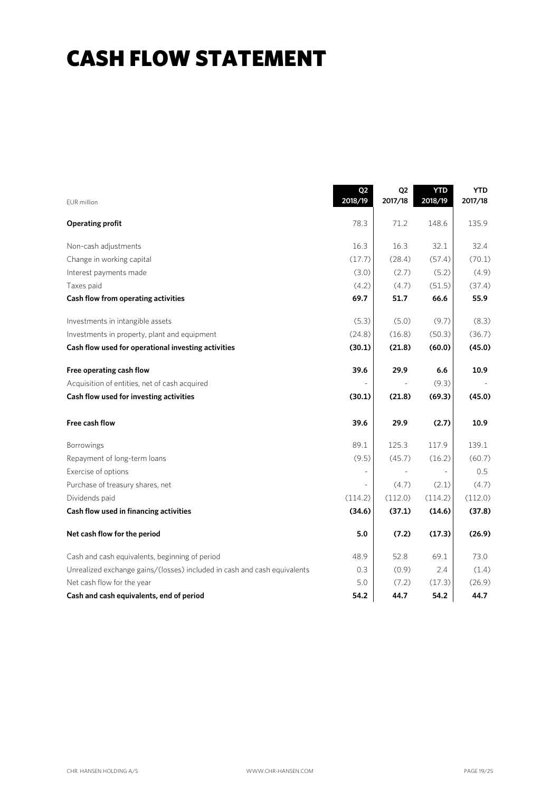## CASH FLOW STATEMENT

|                                                                          | Q2<br>2018/19 | Q <sub>2</sub><br>2017/18 | <b>YTD</b><br>2018/19 | <b>YTD</b><br>2017/18 |
|--------------------------------------------------------------------------|---------------|---------------------------|-----------------------|-----------------------|
| <b>EUR</b> million                                                       |               |                           |                       |                       |
| <b>Operating profit</b>                                                  | 78.3          | 71.2                      | 148.6                 | 135.9                 |
| Non-cash adjustments                                                     | 16.3          | 16.3                      | 32.1                  | 32.4                  |
| Change in working capital                                                | (17.7)        | (28.4)                    | (57.4)                | (70.1)                |
| Interest payments made                                                   | (3.0)         | (2.7)                     | (5.2)                 | (4.9)                 |
| Taxes paid                                                               | (4.2)         | (4.7)                     | (51.5)                | (37.4)                |
| Cash flow from operating activities                                      | 69.7          | 51.7                      | 66.6                  | 55.9                  |
| Investments in intangible assets                                         | (5.3)         | (5.0)                     | (9.7)                 | (8.3)                 |
| Investments in property, plant and equipment                             | (24.8)        | (16.8)                    | (50.3)                | (36.7)                |
| Cash flow used for operational investing activities                      | (30.1)        | (21.8)                    | (60.0)                | (45.0)                |
| Free operating cash flow                                                 | 39.6          | 29.9                      | 6.6                   | 10.9                  |
| Acquisition of entities, net of cash acquired                            |               |                           | (9.3)                 |                       |
| Cash flow used for investing activities                                  | (30.1)        | (21.8)                    | (69.3)                | (45.0)                |
| Free cash flow                                                           | 39.6          | 29.9                      | (2.7)                 | 10.9                  |
| <b>Borrowings</b>                                                        | 89.1          | 125.3                     | 117.9                 | 139.1                 |
| Repayment of long-term loans                                             | (9.5)         | (45.7)                    | (16.2)                | (60.7)                |
| Exercise of options                                                      |               |                           |                       | 0.5                   |
| Purchase of treasury shares, net                                         |               | (4.7)                     | (2.1)                 | (4.7)                 |
| Dividends paid                                                           | (114.2)       | (112.0)                   | (114.2)               | (112.0)               |
| Cash flow used in financing activities                                   | (34.6)        | (37.1)                    | (14.6)                | (37.8)                |
| Net cash flow for the period                                             | 5.0           | (7.2)                     | (17.3)                | (26.9)                |
| Cash and cash equivalents, beginning of period                           | 48.9          | 52.8                      | 69.1                  | 73.0                  |
| Unrealized exchange gains/(losses) included in cash and cash equivalents | 0.3           | (0.9)                     | 2.4                   | (1.4)                 |
| Net cash flow for the year                                               | 5.0           | (7.2)                     | (17.3)                | (26.9)                |
| Cash and cash equivalents, end of period                                 | 54.2          | 44.7                      | 54.2                  | 44.7                  |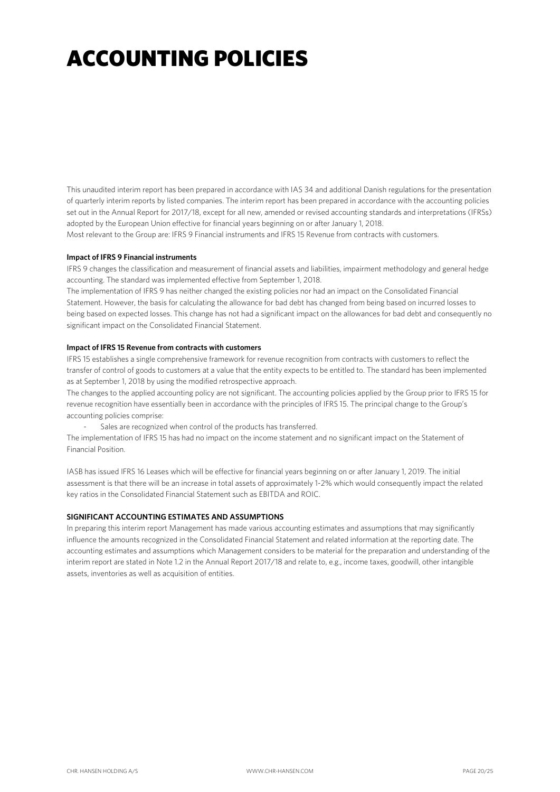## ACCOUNTING POLICIES

This unaudited interim report has been prepared in accordance with IAS 34 and additional Danish regulations for the presentation of quarterly interim reports by listed companies. The interim report has been prepared in accordance with the accounting policies set out in the Annual Report for 2017/18, except for all new, amended or revised accounting standards and interpretations (IFRSs) adopted by the European Union effective for financial years beginning on or after January 1, 2018. Most relevant to the Group are: IFRS 9 Financial instruments and IFRS 15 Revenue from contracts with customers.

#### **Impact of IFRS 9 Financial instruments**

IFRS 9 changes the classification and measurement of financial assets and liabilities, impairment methodology and general hedge accounting. The standard was implemented effective from September 1, 2018.

The implementation of IFRS 9 has neither changed the existing policies nor had an impact on the Consolidated Financial Statement. However, the basis for calculating the allowance for bad debt has changed from being based on incurred losses to being based on expected losses. This change has not had a significant impact on the allowances for bad debt and consequently no significant impact on the Consolidated Financial Statement.

#### **Impact of IFRS 15 Revenue from contracts with customers**

IFRS 15 establishes a single comprehensive framework for revenue recognition from contracts with customers to reflect the transfer of control of goods to customers at a value that the entity expects to be entitled to. The standard has been implemented as at September 1, 2018 by using the modified retrospective approach.

The changes to the applied accounting policy are not significant. The accounting policies applied by the Group prior to IFRS 15 for revenue recognition have essentially been in accordance with the principles of IFRS 15. The principal change to the Group's accounting policies comprise:

Sales are recognized when control of the products has transferred.

The implementation of IFRS 15 has had no impact on the income statement and no significant impact on the Statement of Financial Position.

IASB has issued IFRS 16 Leases which will be effective for financial years beginning on or after January 1, 2019. The initial assessment is that there will be an increase in total assets of approximately 1-2% which would consequently impact the related key ratios in the Consolidated Financial Statement such as EBITDA and ROIC.

### **SIGNIFICANT ACCOUNTING ESTIMATES AND ASSUMPTIONS**

In preparing this interim report Management has made various accounting estimates and assumptions that may significantly influence the amounts recognized in the Consolidated Financial Statement and related information at the reporting date. The accounting estimates and assumptions which Management considers to be material for the preparation and understanding of the interim report are stated in Note 1.2 in the Annual Report 2017/18 and relate to, e.g., income taxes, goodwill, other intangible assets, inventories as well as acquisition of entities.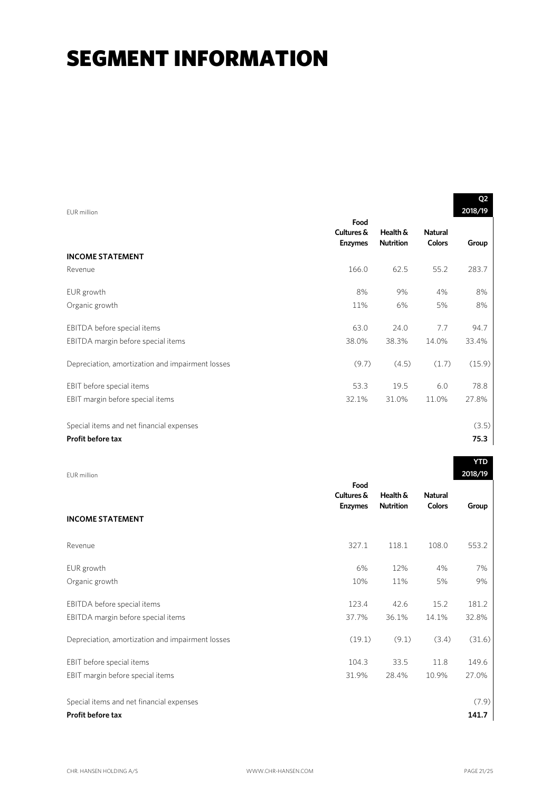|                                                  |                |                  |                | Q <sub>2</sub> |
|--------------------------------------------------|----------------|------------------|----------------|----------------|
| EUR million                                      | Food           |                  |                | 2018/19        |
|                                                  | Cultures &     | Health &         | <b>Natural</b> |                |
|                                                  | <b>Enzymes</b> | <b>Nutrition</b> | <b>Colors</b>  | Group          |
| <b>INCOME STATEMENT</b>                          |                |                  |                |                |
| Revenue                                          | 166.0          | 62.5             | 55.2           | 283.7          |
| EUR growth                                       | 8%             | 9%               | 4%             | 8%             |
|                                                  |                |                  |                |                |
| Organic growth                                   | 11%            | 6%               | 5%             | 8%             |
| EBITDA before special items                      | 63.0           | 24.0             | 7.7            | 94.7           |
| EBITDA margin before special items               | 38.0%          | 38.3%            | 14.0%          | 33.4%          |
| Depreciation, amortization and impairment losses | (9.7)          | (4.5)            | (1.7)          | (15.9)         |
| EBIT before special items                        | 53.3           | 19.5             | 6.0            | 78.8           |
| EBIT margin before special items                 | 32.1%          | 31.0%            | 11.0%          | 27.8%          |
| Special items and net financial expenses         |                |                  |                | (3.5)          |
| Profit before tax                                |                |                  |                | 75.3           |
|                                                  |                |                  |                |                |

| EUR million                                      |                                      |                              |                                 | 2018/19 |
|--------------------------------------------------|--------------------------------------|------------------------------|---------------------------------|---------|
| <b>INCOME STATEMENT</b>                          | Food<br>Cultures &<br><b>Enzymes</b> | Health &<br><b>Nutrition</b> | <b>Natural</b><br><b>Colors</b> | Group   |
|                                                  |                                      |                              |                                 |         |
| Revenue                                          | 327.1                                | 118.1                        | 108.0                           | 553.2   |
| EUR growth                                       | 6%                                   | 12%                          | 4%                              | 7%      |
| Organic growth                                   | 10%                                  | 11%                          | 5%                              | 9%      |
| EBITDA before special items                      | 123.4                                | 42.6                         | 15.2                            | 181.2   |
| EBITDA margin before special items               | 37.7%                                | 36.1%                        | 14.1%                           | 32.8%   |
| Depreciation, amortization and impairment losses | (19.1)                               | (9.1)                        | (3.4)                           | (31.6)  |
| EBIT before special items                        | 104.3                                | 33.5                         | 11.8                            | 149.6   |
| EBIT margin before special items                 | 31.9%                                | 28.4%                        | 10.9%                           | 27.0%   |
| Special items and net financial expenses         |                                      |                              |                                 | (7.9)   |
| Profit before tax                                |                                      |                              |                                 | 141.7   |

**YTD**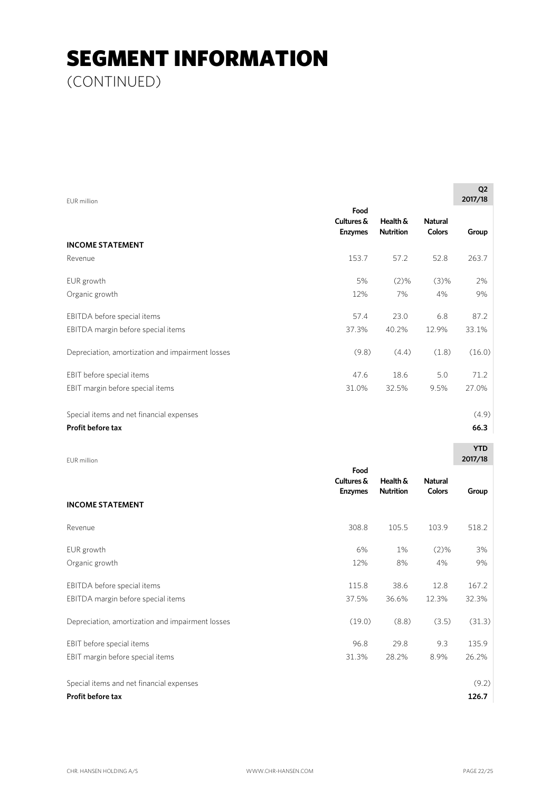(CONTINUED)

| EUR million                                      |                                      |                              |                                 | Q <sub>2</sub><br>2017/18 |
|--------------------------------------------------|--------------------------------------|------------------------------|---------------------------------|---------------------------|
|                                                  | Food<br>Cultures &<br><b>Enzymes</b> | Health &<br><b>Nutrition</b> | <b>Natural</b><br><b>Colors</b> | Group                     |
| <b>INCOME STATEMENT</b>                          |                                      |                              |                                 |                           |
| Revenue                                          | 153.7                                | 57.2                         | 52.8                            | 263.7                     |
| EUR growth                                       | 5%                                   | $(2)\%$                      | (3)%                            | 2%                        |
| Organic growth                                   | 12%                                  | 7%                           | 4%                              | 9%                        |
| EBITDA before special items                      | 57.4                                 | 23.0                         | 6.8                             | 87.2                      |
| EBITDA margin before special items               | 37.3%                                | 40.2%                        | 12.9%                           | 33.1%                     |
| Depreciation, amortization and impairment losses | (9.8)                                | (4.4)                        | (1.8)                           | (16.0)                    |
| EBIT before special items                        | 47.6                                 | 18.6                         | 5.0                             | 71.2                      |
| EBIT margin before special items                 | 31.0%                                | 32.5%                        | 9.5%                            | 27.0%                     |
| Special items and net financial expenses         |                                      |                              |                                 | (4.9)                     |
| Profit before tax                                |                                      |                              |                                 | 66.3                      |
|                                                  |                                      |                              |                                 | <b>YTD</b>                |

| EUR million                                      |                                      |                              |                                 | 2017/18 |
|--------------------------------------------------|--------------------------------------|------------------------------|---------------------------------|---------|
| <b>INCOME STATEMENT</b>                          | Food<br>Cultures &<br><b>Enzymes</b> | Health &<br><b>Nutrition</b> | <b>Natural</b><br><b>Colors</b> | Group   |
|                                                  |                                      |                              |                                 |         |
| Revenue                                          | 308.8                                | 105.5                        | 103.9                           | 518.2   |
| EUR growth                                       | 6%                                   | $1\%$                        | $(2)\%$                         | 3%      |
| Organic growth                                   | 12%                                  | 8%                           | 4%                              | 9%      |
| EBITDA before special items                      | 115.8                                | 38.6                         | 12.8                            | 167.2   |
| EBITDA margin before special items               | 37.5%                                | 36.6%                        | 12.3%                           | 32.3%   |
| Depreciation, amortization and impairment losses | (19.0)                               | (8.8)                        | (3.5)                           | (31.3)  |
| EBIT before special items                        | 96.8                                 | 29.8                         | 9.3                             | 135.9   |
| EBIT margin before special items                 | 31.3%                                | 28.2%                        | 8.9%                            | 26.2%   |
| Special items and net financial expenses         |                                      |                              |                                 | (9.2)   |
| <b>Profit before tax</b>                         |                                      |                              |                                 | 126.7   |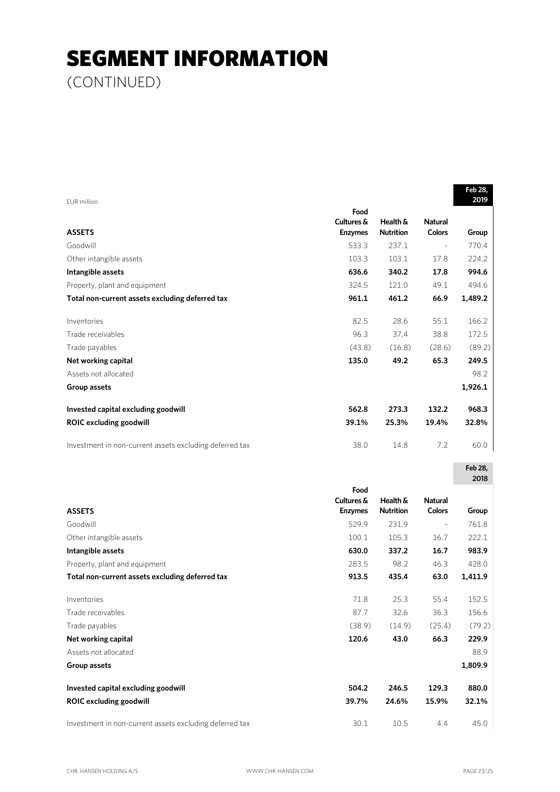(CONTINUED)

|                                                         |                |                  |                | Feb 28,         |
|---------------------------------------------------------|----------------|------------------|----------------|-----------------|
| <b>EUR</b> million                                      | Food           |                  |                | 2019            |
|                                                         | Cultures &     | Health &         | <b>Natural</b> |                 |
| <b>ASSETS</b>                                           | <b>Enzymes</b> | <b>Nutrition</b> | Colors         | Group           |
| Goodwill                                                | 533.3          | 237.1            |                | 770.4           |
| Other intangible assets                                 | 103.3          | 103.1            | 17.8           | 224.2           |
| Intangible assets                                       | 636.6          | 340.2            | 17.8           | 994.6           |
| Property, plant and equipment                           | 324.5          | 121.0            | 49.1           | 494.6           |
| Total non-current assets excluding deferred tax         | 961.1          | 461.2            | 66.9           | 1,489.2         |
| Inventories                                             | 82.5           | 28.6             | 55.1           | 166.2           |
| Trade receivables                                       | 96.3           | 37.4             | 38.8           | 172.5           |
| Trade payables                                          | (43.8)         | (16.8)           | (28.6)         | (89.2)          |
| Net working capital                                     | 135.0          | 49.2             | 65.3           | 249.5           |
| Assets not allocated                                    |                |                  |                | 98.2            |
| Group assets                                            |                |                  |                | 1,926.1         |
| Invested capital excluding goodwill                     | 562.8          | 273.3            | 132.2          | 968.3           |
| <b>ROIC excluding goodwill</b>                          | 39.1%          | 25.3%            | 19.4%          | 32.8%           |
| Investment in non-current assets excluding deferred tax | 38.0           | 14.8             | 7.2            | 60.0            |
|                                                         |                |                  |                | Feb 28,<br>2018 |
|                                                         | Food           |                  |                |                 |
|                                                         | Cultures &     | Health &         | <b>Natural</b> |                 |
| <b>ASSETS</b>                                           | <b>Enzymes</b> | <b>Nutrition</b> | <b>Colors</b>  | Group           |
| Goodwill                                                | 529.9          | 231.9            |                | 761.8           |
| Other intangible assets                                 | 100.1          | 105.3            | 16.7           | 222.1           |
| Intangible assets                                       | 630.0          | 337.2            | 16.7           | 983.9           |
| Property, plant and equipment                           | 283.5          | 98.2             | 46.3           | 428.0           |
| Total non-current assets excluding deferred tax         | 913.5          | 435.4            | 63.0           | 1,411.9         |
| Inventories                                             | 71.8           | 25.3             | 55.4           | 152.5           |
| Trade receivables                                       | 87.7           | 32.6             | 36.3           | 156.6           |
| Trade payables                                          | (38.9)         | (14.9)           | (25.4)         | (79.2)          |
| Net working capital                                     | 120.6          | 43.0             | 66.3           | 229.9           |
| Assets not allocated                                    |                |                  |                | 88.9            |
| Group assets                                            |                |                  |                | 1,809.9         |
| Invested capital excluding goodwill                     | 504.2          | 246.5            | 129.3          | 880.0           |
| <b>ROIC excluding goodwill</b>                          | 39.7%          | 24.6%            | 15.9%          | 32.1%           |
| Investment in non-current assets excluding deferred tax | 30.1           | 10.5             | 4.4            | 45.0            |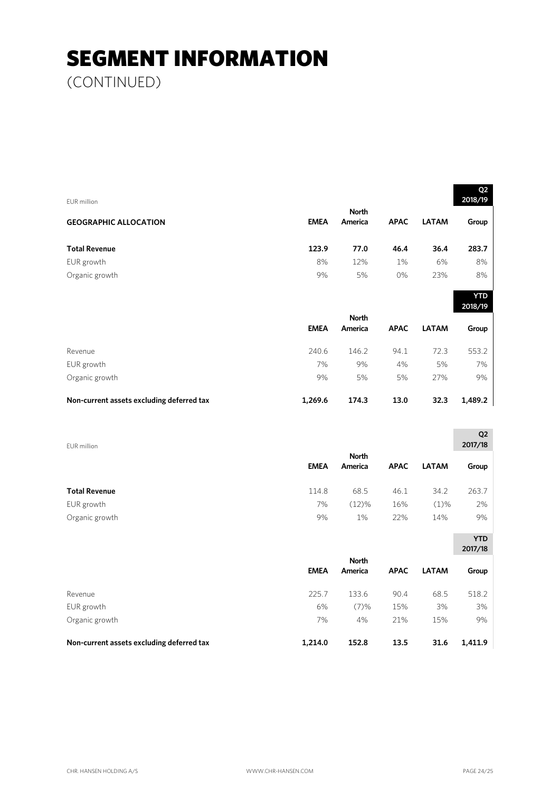(CONTINUED)

| EUR million                               |             |                         |             |              | Q2<br>2018/19         |
|-------------------------------------------|-------------|-------------------------|-------------|--------------|-----------------------|
| <b>GEOGRAPHIC ALLOCATION</b>              | <b>EMEA</b> | <b>North</b><br>America | <b>APAC</b> | <b>LATAM</b> | Group                 |
| <b>Total Revenue</b>                      | 123.9       | 77.0                    | 46.4        | 36.4         | 283.7                 |
| EUR growth                                | 8%          | 12%                     | 1%          | 6%           | 8%                    |
| Organic growth                            | 9%          | 5%                      | 0%          | 23%          | 8%                    |
|                                           |             |                         |             |              | <b>YTD</b><br>2018/19 |
|                                           | <b>EMEA</b> | <b>North</b><br>America | <b>APAC</b> | <b>LATAM</b> | Group                 |
| Revenue                                   | 240.6       | 146.2                   | 94.1        | 72.3         | 553.2                 |
| EUR growth                                | 7%          | 9%                      | 4%          | 5%           | 7%                    |
| Organic growth                            | 9%          | 5%                      | 5%          | 27%          | 9%                    |
| Non-current assets excluding deferred tax | 1,269.6     | 174.3                   | 13.0        | 32.3         | 1,489.2               |

| EUR million          |             |                         |             |              | Q <sub>2</sub><br>2017/18 |
|----------------------|-------------|-------------------------|-------------|--------------|---------------------------|
|                      | <b>EMEA</b> | <b>North</b><br>America | <b>APAC</b> | <b>LATAM</b> | Group                     |
| <b>Total Revenue</b> | 114.8       | 68.5                    | 46.1        | 34.2         | 263.7                     |
| EUR growth           | 7%          | $(12)\%$                | 16%         | $(1)\%$      | 2%                        |
| Organic growth       | 9%          | 1%                      | 22%         | 14%          | 9%                        |
|                      |             |                         |             |              | <b>YTD</b>                |

|                                           |             |                         |             |              | 2017/18 |
|-------------------------------------------|-------------|-------------------------|-------------|--------------|---------|
|                                           | <b>EMEA</b> | <b>North</b><br>America | <b>APAC</b> | <b>LATAM</b> | Group   |
| Revenue                                   | 225.7       | 133.6                   | 90.4        | 68.5         | 518.2   |
| EUR growth                                | 6%          | (7)%                    | 15%         | 3%           | 3%      |
| Organic growth                            | 7%          | 4%                      | 21%         | 15%          | 9%      |
| Non-current assets excluding deferred tax | 1,214.0     | 152.8                   | 13.5        | 31.6         | 1,411.9 |

**Q2**